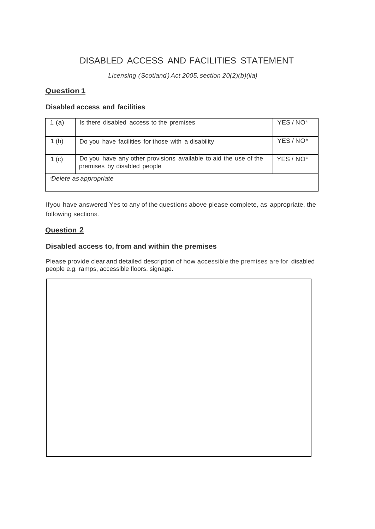# DISABLED ACCESS AND FACILITIES STATEMENT

 *Licensing (Scotland ) Act 2005, section 20(2)(b)(iia)*

### **Question 1**

### **Disabled access and facilities**

| 1 (a)                  | Is there disabled access to the premises                                                        | YES/NO <sup>*</sup> |
|------------------------|-------------------------------------------------------------------------------------------------|---------------------|
| 1 <sub>(b)</sub>       | Do you have facilities for those with a disability                                              | YES/NO <sup>*</sup> |
| 1(c)                   | Do you have any other provisions available to aid the use of the<br>premises by disabled people | YES / NO*           |
| *Delete as appropriate |                                                                                                 |                     |

Ifyou have answered Yes to any of the questions above please complete, as appropriate, the following sections.

### **Question 2**

### **Disabled access to, from and within the premises**

Please provide clear and detailed description of how accessible the premises are for disabled people e.g. ramps, accessible floors, signage.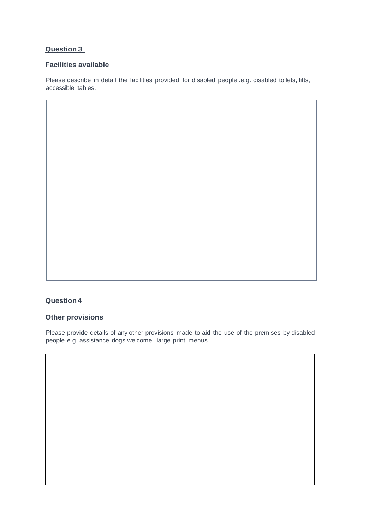# **Question 3**

#### **Facilities available**

Please describe in detail the facilities provided for disabled people .e.g. disabled toilets, lifts, accessible tables.

## **Question4**

#### **Other provisions**

Please provide details of any other provisions made to aid the use of the premises by disabled people e.g. assistance dogs welcome, large print menus.